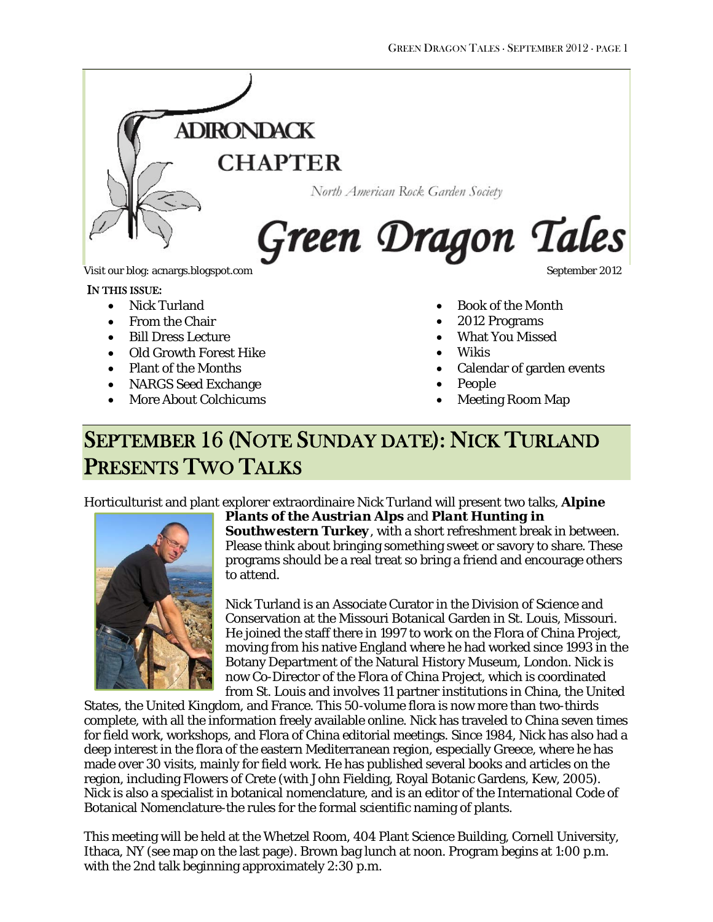

#### IN THIS ISSUE:

- Nick Turland
- From the Chair
- Bill Dress Lecture
- Old Growth Forest Hike
- Plant of the Months
- NARGS Seed Exchange
- More About Colchicums

- Book of the Month
- 2012 Programs
- What You Missed
- Wikis
- Calendar of garden events
- People
- Meeting Room Map

# SEPTEMBER 16 (NOTE SUNDAY DATE): NICK TURLAND PRESENTS TWO TALKS

Horticulturist and plant explorer extraordinaire Nick Turland will present two talks, *Alpine* 



## *Plants of the Austrian Alps* and *Plant Hunting in Southwestern Turkey*, with a short refreshment break in between.

Please think about bringing something sweet or savory to share. These programs should be a real treat so bring a friend and encourage others to attend.

Nick Turland is an Associate Curator in the Division of Science and Conservation at the Missouri Botanical Garden in St. Louis, Missouri. He joined the staff there in 1997 to work on the Flora of China Project, moving from his native England where he had worked since 1993 in the Botany Department of the Natural History Museum, London. Nick is now Co-Director of the Flora of China Project, which is coordinated from St. Louis and involves 11 partner institutions in China, the United

States, the United Kingdom, and France. This 50-volume flora is now more than two-thirds complete, with all the information freely available online. Nick has traveled to China seven times for field work, workshops, and Flora of China editorial meetings. Since 1984, Nick has also had a deep interest in the flora of the eastern Mediterranean region, especially Greece, where he has made over 30 visits, mainly for field work. He has published several books and articles on the region, including Flowers of Crete (with John Fielding, Royal Botanic Gardens, Kew, 2005). Nick is also a specialist in botanical nomenclature, and is an editor of the International Code of Botanical Nomenclature-the rules for the formal scientific naming of plants.

This meeting will be held at the Whetzel Room, 404 Plant Science Building, Cornell University, Ithaca, NY (see map on the last page). Brown bag lunch at noon. Program begins at 1:00 p.m. with the 2nd talk beginning approximately 2:30 p.m.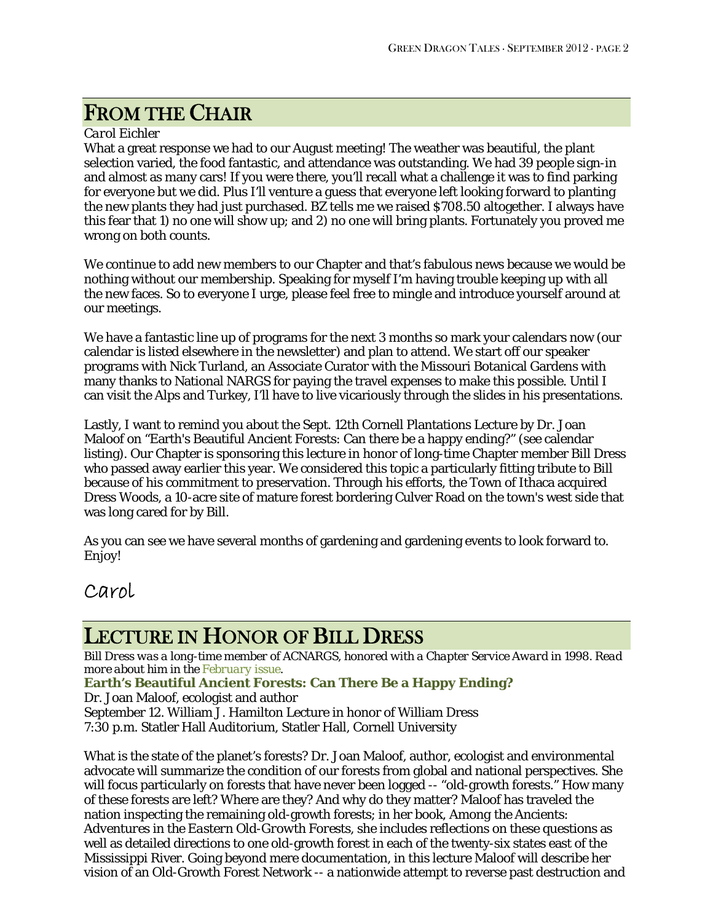# FROM THE CHAIR

### *Carol Eichler*

What a great response we had to our August meeting! The weather was beautiful, the plant selection varied, the food fantastic, and attendance was outstanding. We had 39 people sign-in and almost as many cars! If you were there, you'll recall what a challenge it was to find parking for everyone but we did. Plus I'll venture a guess that everyone left looking forward to planting the new plants they had just purchased. BZ tells me we raised \$708.50 altogether. I always have this fear that 1) no one will show up; and 2) no one will bring plants. Fortunately you proved me wrong on both counts.

We continue to add new members to our Chapter and that's fabulous news because we would be nothing without our membership. Speaking for myself I'm having trouble keeping up with all the new faces. So to everyone I urge, please feel free to mingle and introduce yourself around at our meetings.

We have a fantastic line up of programs for the next 3 months so mark your calendars now (our calendar is listed elsewhere in the newsletter) and plan to attend. We start off our speaker programs with Nick Turland, an Associate Curator with the Missouri Botanical Gardens with many thanks to National NARGS for paying the travel expenses to make this possible. Until I can visit the Alps and Turkey, I'll have to live vicariously through the slides in his presentations.

Lastly, I want to remind you about the Sept. 12th Cornell Plantations Lecture by Dr. Joan Maloof on "Earth's Beautiful Ancient Forests: Can there be a happy ending?" (see calendar listing). Our Chapter is sponsoring this lecture in honor of long-time Chapter member Bill Dress who passed away earlier this year. We considered this topic a particularly fitting tribute to Bill because of his commitment to preservation. Through his efforts, the Town of Ithaca acquired Dress Woods, a 10-acre site of mature forest bordering Culver Road on the town's west side that was long cared for by Bill.

As you can see we have several months of gardening and gardening events to look forward to. Enjoy!

## Carol

# LECTURE IN HONOR OF BILL DRESS

*Bill Dress was a long-time member of ACNARGS, honored with a Chapter Service Award in 1998. Read more about him in the [February issue.](http://www.acnargs.org/newsletter/201202.pdf)* 

**Earth's Beautiful Ancient Forests: Can There Be a Happy Ending?** 

Dr. Joan Maloof, ecologist and author

September 12. William J. Hamilton Lecture in honor of William Dress 7:30 p.m. Statler Hall Auditorium, Statler Hall, Cornell University

What is the state of the planet's forests? Dr. Joan Maloof, author, ecologist and environmental advocate will summarize the condition of our forests from global and national perspectives. She will focus particularly on forests that have never been logged -- "old-growth forests." How many of these forests are left? Where are they? And why do they matter? Maloof has traveled the nation inspecting the remaining old-growth forests; in her book, *Among the Ancients: Adventures in the Eastern Old-Growth Forests*, she includes reflections on these questions as well as detailed directions to one old-growth forest in each of the twenty-six states east of the Mississippi River. Going beyond mere documentation, in this lecture Maloof will describe her vision of an Old-Growth Forest Network -- a nationwide attempt to reverse past destruction and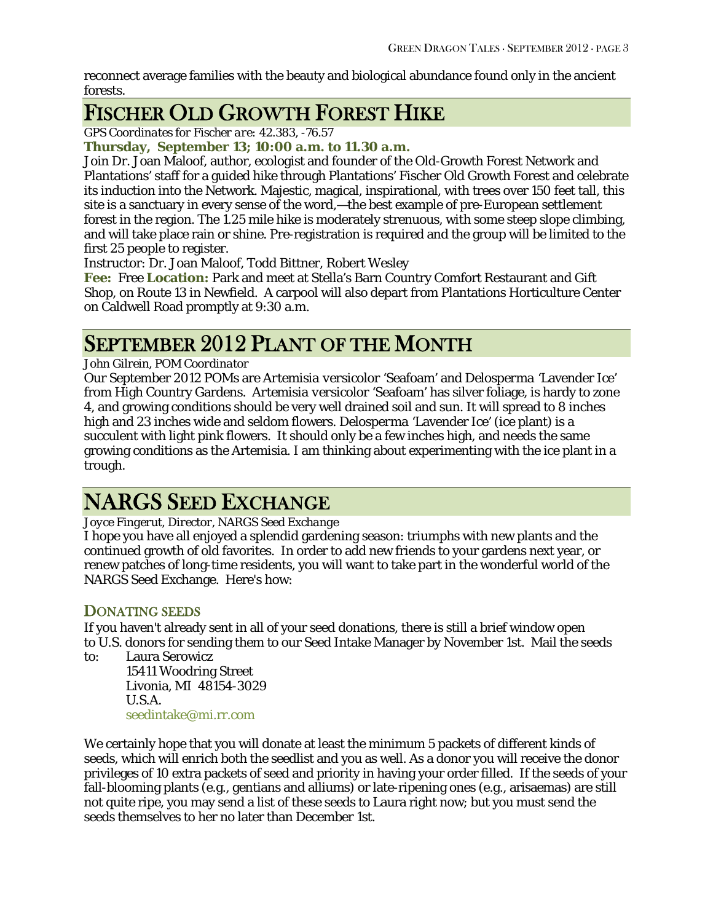reconnect average families with the beauty and biological abundance found only in the ancient forests.

# FISCHER OLD GROWTH FOREST HIKE

*GPS Coordinates for Fischer are: 42.383, -76.57* 

**Thursday, September 13; 10:00 a.m. to 11.30 a.m.**

Join Dr. Joan Maloof, author, ecologist and founder of the Old-Growth Forest Network and Plantations' staff for a guided hike through Plantations' Fischer Old Growth Forest and celebrate its induction into the Network. Majestic, magical, inspirational, with trees over 150 feet tall, this site is a sanctuary in every sense of the word,—the best example of pre-European settlement forest in the region. The 1.25 mile hike is moderately strenuous, with some steep slope climbing, and will take place rain or shine. Pre-registration is required and the group will be limited to the first 25 people to register.

Instructor: Dr. Joan Maloof, Todd Bittner, Robert Wesley

**Fee:** Free **Location:** Park and meet at Stella's Barn Country Comfort Restaurant and Gift Shop, on Route 13 in Newfield. A carpool will also depart from Plantations Horticulture Center on Caldwell Road promptly at 9:30 a.m.

# SEPTEMBER 2012 PLANT OF THE MONTH

### *John Gilrein, POM Coordinator*

Our September 2012 POMs are *Artemisia versicolor* 'Seafoam' and *Delosperma* 'Lavender Ice' from High Country Gardens. *Artemisia versicolor* 'Seafoam' has silver foliage, is hardy to zone 4, and growing conditions should be very well drained soil and sun. It will spread to 8 inches high and 23 inches wide and seldom flowers. *Delosperma* 'Lavender Ice' (ice plant) is a succulent with light pink flowers. It should only be a few inches high, and needs the same growing conditions as the Artemisia. I am thinking about experimenting with the ice plant in a trough.

# NARGS SEED EXCHANGE

### *Joyce Fingerut, Director, NARGS Seed Exchange*

I hope you have all enjoyed a splendid gardening season: triumphs with new plants and the continued growth of old favorites. In order to add new friends to your gardens next year, or renew patches of long-time residents, you will want to take part in the wonderful world of the NARGS Seed Exchange. Here's how:

## DONATING SEEDS

If you haven't already sent in all of your seed donations, there is still a brief window open to U.S. donors for sending them to our Seed Intake Manager by November 1st. Mail the seeds

to: Laura Serowicz 15411 Woodring Street

 Livonia, MI 48154-3029 U.S.A. [seedintake@mi.rr.com](mailto:seedintake@mi.rr.com)

We certainly hope that you will donate at least the minimum 5 packets of different kinds of seeds, which will enrich both the seedlist and you as well. As a donor you will receive the donor privileges of 10 extra packets of seed and priority in having your order filled. If the seeds of your fall-blooming plants (e.g., gentians and alliums) or late-ripening ones (e.g., arisaemas) are still not quite ripe, you may send a list of these seeds to Laura right now; but you must send the seeds themselves to her no later than December 1st.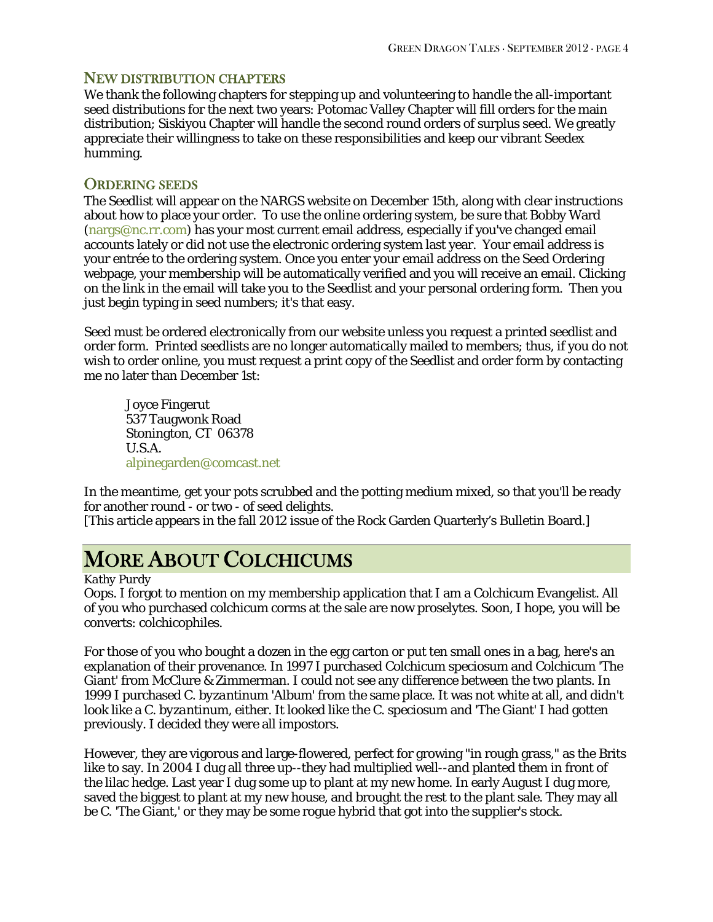### NEW DISTRIBUTION CHAPTERS

We thank the following chapters for stepping up and volunteering to handle the all-important seed distributions for the next two years: Potomac Valley Chapter will fill orders for the main distribution; Siskiyou Chapter will handle the second round orders of surplus seed. We greatly appreciate their willingness to take on these responsibilities and keep our vibrant Seedex humming.

### ORDERING SEEDS

The Seedlist will appear on the NARGS website on December 15th, along with clear instructions about how to place your order. To use the online ordering system, be sure that Bobby Ward [\(nargs@nc.rr.com](mailto:nargs@nc.rr.com)) has your most current email address, especially if you've changed email accounts lately or did not use the electronic ordering system last year. Your email address is your entrée to the ordering system. Once you enter your email address on the Seed Ordering webpage, your membership will be automatically verified and you will receive an email. Clicking on the link in the email will take you to the Seedlist and your personal ordering form. Then you just begin typing in seed numbers; it's that easy.

Seed must be ordered electronically from our website unless you request a printed seedlist and order form. Printed seedlists are no longer automatically mailed to members; thus, if you do not wish to order online, you must request a print copy of the Seedlist and order form by contacting me no later than December 1st:

 Joyce Fingerut 537 Taugwonk Road Stonington, CT 06378 U.S.A. [alpinegarden@comcast.net](mailto:alpinegarden@comcast.net)

In the meantime, get your pots scrubbed and the potting medium mixed, so that you'll be ready for another round - or two - of seed delights.

[This article appears in the fall 2012 issue of the Rock Garden Quarterly's Bulletin Board.]

# MORE ABOUT COLCHICUMS

#### *Kathy Purdy*

Oops. I forgot to mention on my membership application that I am a Colchicum Evangelist. All of you who purchased colchicum corms at the sale are now proselytes. Soon, I hope, you will be converts: colchicophiles.

For those of you who bought a dozen in the egg carton or put ten small ones in a bag, here's an explanation of their provenance. In 1997 I purchased *Colchicum speciosum* and *Colchicum* 'The Giant' from McClure & Zimmerman. I could not see any difference between the two plants. In 1999 I purchased *C. byzantinum* 'Album' from the same place. It was not white at all, and didn't look like a *C. byzantinum*, either. It looked like the *C. speciosum* and 'The Giant' I had gotten previously. I decided they were all impostors.

However, they are vigorous and large-flowered, perfect for growing "in rough grass," as the Brits like to say. In 2004 I dug all three up--they had multiplied well--and planted them in front of the lilac hedge. Last year I dug some up to plant at my new home. In early August I dug more, saved the biggest to plant at my new house, and brought the rest to the plant sale. They may all be C. 'The Giant,' or they may be some rogue hybrid that got into the supplier's stock.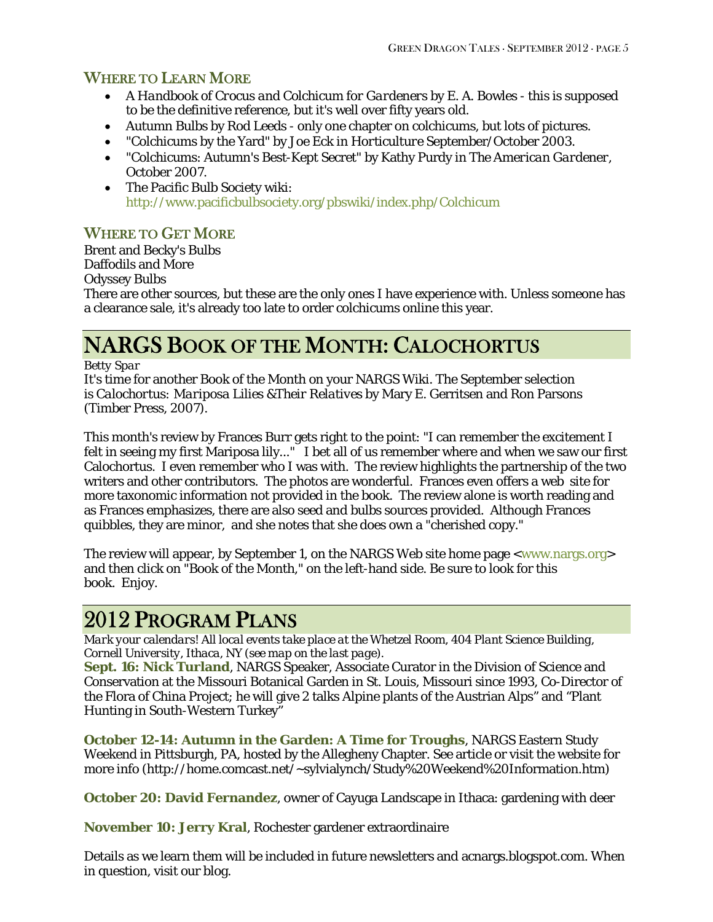## WHERE TO LEARN MORE

- *A Handbook of Crocus and Colchicum for Gardeners* by E. A. Bowles this is supposed to be the definitive reference, but it's well over fifty years old.
- *Autumn Bulbs* by Rod Leeds only one chapter on colchicums, but lots of pictures.
- "Colchicums by the Yard" by Joe Eck in *Horticulture* September/October 2003.
- "Colchicums: Autumn's Best-Kept Secret" by Kathy Purdy in *The American Gardener*, October 2007.
- The Pacific Bulb Society wiki: <http://www.pacificbulbsociety.org/pbswiki/index.php/Colchicum>

## WHERE TO GET MORE

Brent and Becky's Bulbs Daffodils and More Odyssey Bulbs

There are other sources, but these are the only ones I have experience with. Unless someone has a clearance sale, it's already too late to order colchicums online this year.

# NARGS BOOK OF THE MONTH: CALOCHORTUS

*Betty Spar* 

It's time for another Book of the Month on your NARGS Wiki. The September selection is *Calochortus: Mariposa Lilies &Their Relatives* by Mary E. Gerritsen and Ron Parsons (Timber Press, 2007).

This month's review by Frances Burr gets right to the point: "I can remember the excitement I felt in seeing my first Mariposa lily..." I bet all of us remember where and when we saw our first Calochortus. I even remember who I was with. The review highlights the partnership of the two writers and other contributors. The photos are wonderful. Frances even offers a web site for more taxonomic information not provided in the book. The review alone is worth reading and as Frances emphasizes, there are also seed and bulbs sources provided. Although Frances quibbles, they are minor, and she notes that she does own a "cherished copy."

The review will appear, by September 1, on the NARGS Web site home page <[www.nargs.org>](http://www.nargs.org/) and then click on "Book of the Month," on the left-hand side. Be sure to look for this book. Enjoy.

# 2012 PROGRAM PLANS

*Mark your calendars! All local events take place at the Whetzel Room, 404 Plant Science Building, Cornell University, Ithaca, NY (see map on the last page).* 

**Sept. 16: [Nick Turland](http://www.nargs.org/index.php?option=com_content&view=article&id=178:speakers-tour-2012&catid=62:speakers-tours&Itemid=121)**, NARGS Speaker, Associate Curator in the Division of Science and Conservation at the Missouri Botanical Garden in St. Louis, Missouri since 1993, Co-Director of the Flora of China Project; he will give 2 talks Alpine plants of the Austrian Alps" and "Plant Hunting in South-Western Turkey"

**October 12-14: Autumn in the Garden: A Time for Troughs**, NARGS Eastern Study Weekend in Pittsburgh, PA, hosted by the Allegheny Chapter. See article or visit the website for more info (http://home.comcast.net/~sylvialynch/Study%20Weekend%20Information.htm)

**October 20: David Fernandez**, owner of Cayuga Landscape in Ithaca: gardening with deer

**November 10: Jerry Kral**, Rochester gardener extraordinaire

Details as we learn them will be included in future newsletters and [acnargs.blogspot.com.](http://acnargs.blogspot.com/) When in question, visit our blog.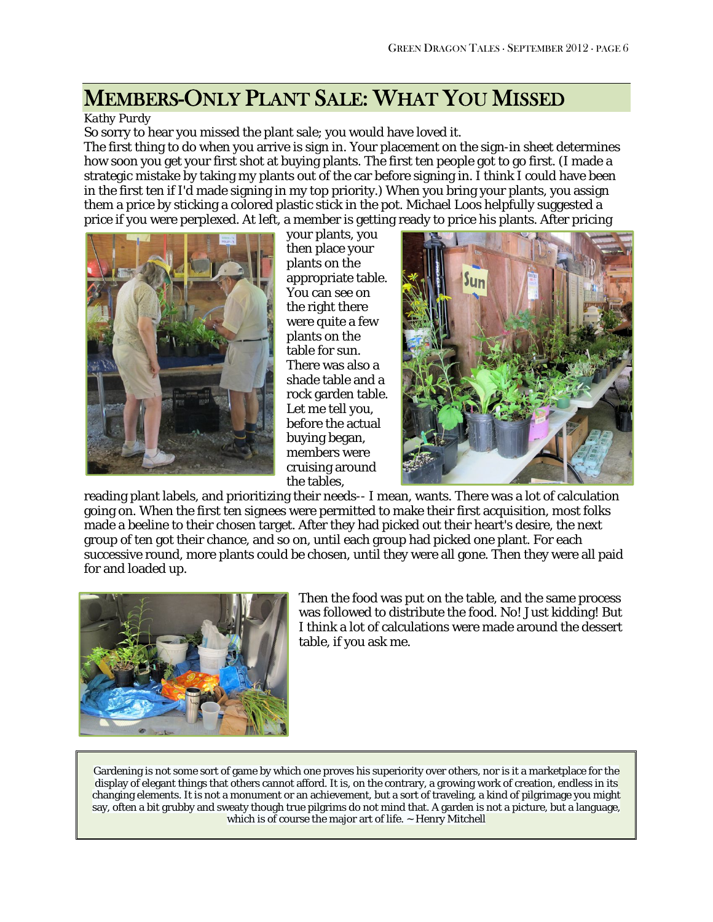# MEMBERS-ONLY PLANT SALE: WHAT YOU MISSED

#### *Kathy Purdy*

So sorry to hear you missed the plant sale; you would have loved it.

The first thing to do when you arrive is sign in. Your placement on the sign-in sheet determines how soon you get your first shot at buying plants. The first ten people got to go first. (I made a strategic mistake by taking my plants out of the car before signing in. I think I could have been in the first ten if I'd made signing in my top priority.) When you bring your plants, you assign them a price by sticking a colored plastic stick in the pot. Michael Loos helpfully suggested a price if you were perplexed. At left, a member is getting ready to price his plants. After pricing



your plants, you then place your plants on the appropriate table. You can see on the right there were quite a few plants on the table for sun. There was also a shade table and a rock garden table. Let me tell you, before the actual buying began, members were cruising around the tables,



reading plant labels, and prioritizing their needs-- I mean, wants. There was a lot of calculation going on. When the first ten signees were permitted to make their first acquisition, most folks made a beeline to their chosen target. After they had picked out their heart's desire, the next group of ten got their chance, and so on, until each group had picked one plant. For each successive round, more plants could be chosen, until they were all gone. Then they were all paid for and loaded up.



Then the food was put on the table, and the same process was followed to distribute the food. No! Just kidding! But I think a lot of calculations were made around the dessert table, if you ask me.

Gardening is not some sort of game by which one proves his superiority over others, nor is it a marketplace for the display of elegant things that others cannot afford. It is, on the contrary, a growing work of creation, endless in its changing elements. It is not a monument or an achievement, but a sort of traveling, a kind of pilgrimage you might say, often a bit grubby and sweaty though true pilgrims do not mind that. A garden is not a picture, but a language, which is of course the major art of life. ~ Henry Mitchell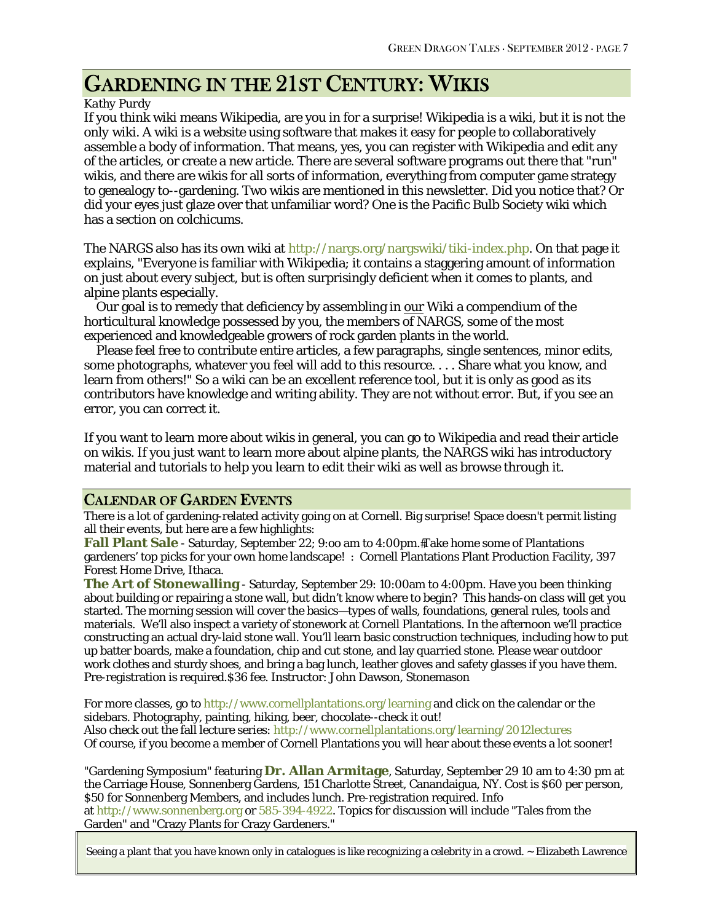# GARDENING IN THE 21ST CENTURY: WIKIS

#### *Kathy Purdy*

If you think wiki means Wikipedia, are you in for a surprise! Wikipedia *is* a wiki, but it is not the *only* wiki. A wiki is a website using software that makes it easy for people to collaboratively assemble a body of information. That means, yes, you can register with Wikipedia and edit any of the articles, or create a new article. There are several software programs out there that "run" wikis, and there are wikis for all sorts of information, everything from computer game strategy to genealogy to--gardening. Two wikis are mentioned in this newsletter. Did you notice that? Or did your eyes just glaze over that unfamiliar word? One is the Pacific Bulb Society wiki which has a section on colchicums.

The NARGS also has its own wiki at <http://nargs.org/nargswiki/tiki-index.php>. On that page it explains, "Everyone is familiar with Wikipedia; it contains a staggering amount of information on just about every subject, but is often surprisingly deficient when it comes to plants, and alpine plants especially.

Our goal is to remedy that deficiency by assembling in our Wiki a compendium of the horticultural knowledge possessed by you, the members of NARGS, some of the most experienced and knowledgeable growers of rock garden plants in the world.

 Please feel free to contribute entire articles, a few paragraphs, single sentences, minor edits, some photographs, whatever you feel will add to this resource. . . . Share what you know, and learn from others!" So a wiki can be an excellent reference tool, but it is only as good as its contributors have knowledge and writing ability. They are not without error. But, if you see an error, you can correct it.

If you want to learn more about wikis in general, you can go to Wikipedia and read their article on wikis. If you just want to learn more about alpine plants, the NARGS wiki has introductory material and tutorials to help you learn to edit their wiki as well as browse through it.

### CALENDAR OF GARDEN EVENTS

There is a lot of gardening-related activity going on at Cornell. Big surprise! Space doesn't permit listing all their events, but here are a few highlights:

**Fall Plant Sale** - Saturday, September 22; 9:00 am to 4:00pm. Take home some of Plantations gardeners' top picks for your own home landscape! : Cornell Plantations Plant Production Facility, 397 Forest Home Drive, Ithaca.

**The Art of Stonewalling** - Saturday, September 29: 10:00am to 4:00pm. Have you been thinking about building or repairing a stone wall, but didn't know where to begin? This hands-on class will get you started. The morning session will cover the basics—types of walls, foundations, general rules, tools and materials. We'll also inspect a variety of stonework at Cornell Plantations. In the afternoon we'll practice constructing an actual dry-laid stone wall. You'll learn basic construction techniques, including how to put up batter boards, make a foundation, chip and cut stone, and lay quarried stone. Please wear outdoor work clothes and sturdy shoes, and bring a bag lunch, leather gloves and safety glasses if you have them. Pre-registration is required.\$36 fee. Instructor: John Dawson, Stonemason

For more classes, go to <http://www.cornellplantations.org/learning>and click on the calendar or the sidebars. Photography, painting, hiking, beer, chocolate--check it out! Also check out the fall lecture series: <http://www.cornellplantations.org/learning/2012lectures> Of course, if you become a member of Cornell Plantations you will hear about these events a lot sooner!

"Gardening Symposium" featuring **Dr. Allan Armitage**, Saturday, September 29 10 am to 4:30 pm at the Carriage House, Sonnenberg Gardens, 151 Charlotte Street, Canandaigua, NY. Cost is \$60 per person, \$50 for Sonnenberg Members, and includes lunch. Pre-registration required. Info at [http://www.sonnenberg.org](http://www.sonnenberg.org/) or 585-394-4922. Topics for discussion will include "Tales from the Garden" and "Crazy Plants for Crazy Gardeners."

Seeing a plant that you have known only in catalogues is like recognizing a celebrity in a crowd. ~ Elizabeth Lawrence